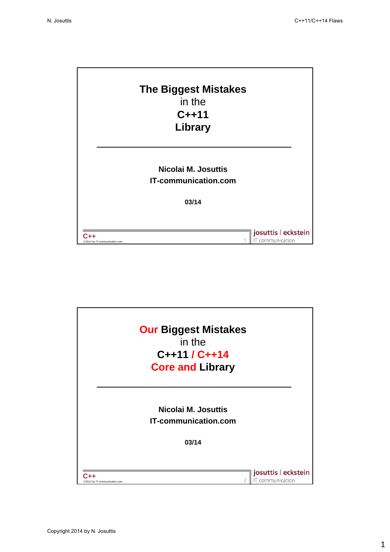

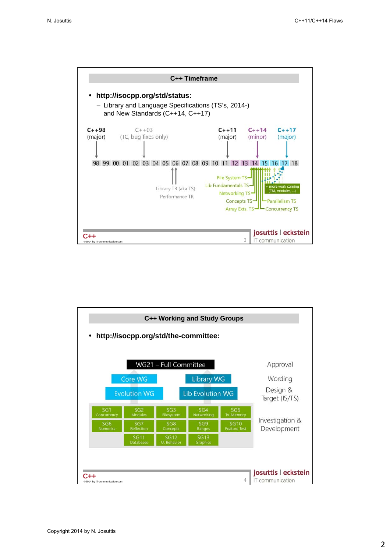

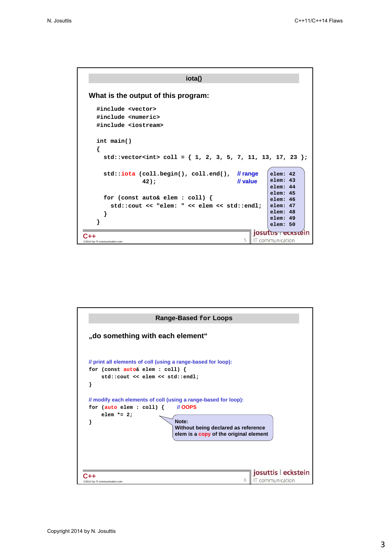```
iota()
 What is the output of this program:
   #include <vector>
   #include <numeric>
   #include <iostream>
   int main()
   {
     std::vector<int> coll = { 1, 2, 3, 5, 7, 11, 13, 17, 23 };
     std::iota (coll.begin(), coll.end(), // range
                                                     elem: 42
                                                     elem: 43
                42); // value
                                                     elem: 44
                                                     elem: 45
     for (const auto& elem : coll) {
                                                     elem: 46
       std::cout << "elem: " << elem << std::endl;
                                                     elem: 47
                                                     elem: 48
     }
                                                     elem: 49
   }
                                                     elem: 50
                                                josutus reckstein
©2014 by IT-communication.com 5 C++
                                                IT communication
```
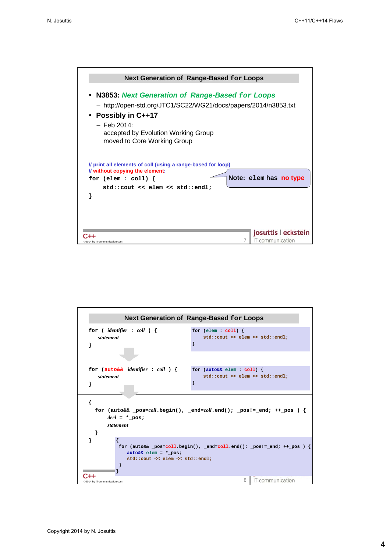

|                                                                   | <b>Next Generation of Range-Based for Loops</b>                        |
|-------------------------------------------------------------------|------------------------------------------------------------------------|
| for ( <i>identifier</i> : <i>coll</i> ) {<br>statement            | for $(\text{elem} : \text{coll})$ {<br>std::cout << elem << std::endl; |
|                                                                   |                                                                        |
| for $(auto&&\text{ identifier : } col)$ {<br>statement<br>ł       | for (auto&& elem : coll) {<br>std::cout << elem << std::endl;          |
| ſ<br>$\text{del} = \star \text{ pos:}$<br>statement               | for (auto&& _pos=coll.begin(), _end=coll.end(); _pos!= end; ++ pos ) { |
| $auto&&\text{elem} = *_{pos};$<br>std::cout << elem << std::endl; | for (auto&& _pos=coll.begin(), _end=coll.end(); _pos!=_end; ++_pos ) { |
| @2014 by IT-communication.com                                     | 8   IT communication                                                   |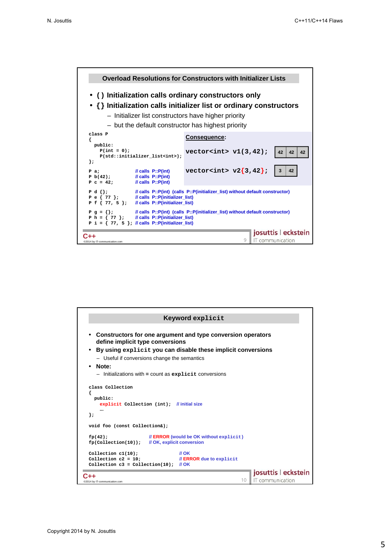

| Keyword explicit                                                                                               |                                         |
|----------------------------------------------------------------------------------------------------------------|-----------------------------------------|
| Constructors for one argument and type conversion operators<br>define implicit type conversions                |                                         |
| By using explicit you can disable these implicit conversions                                                   |                                         |
| - Useful if conversions change the semantics                                                                   |                                         |
| Note:                                                                                                          |                                         |
| $-$ Initializations with $=$ count as explicit conversions                                                     |                                         |
|                                                                                                                |                                         |
| class Collection<br>public:<br>explicit Collection (int); //initial size                                       |                                         |
| <br>۱;                                                                                                         |                                         |
| void foo (const Collection&);                                                                                  |                                         |
| $\mathcal U$ ERROR (would be OK without explicit)<br>fp(42);<br>fp(Collection(10)); // OK, explicit conversion |                                         |
| $II$ OK<br>Collection $c1(10)$ ;                                                                               |                                         |
| Collection $c2 = 10$ ;<br>// <b>ERROR</b> due to explicit                                                      |                                         |
| Collection c3 = Collection(10); $\frac{1}{10}$ OK                                                              |                                         |
| 10                                                                                                             | josuttis   eckstein<br>IT communication |
| @2014 by IT-communication.com                                                                                  |                                         |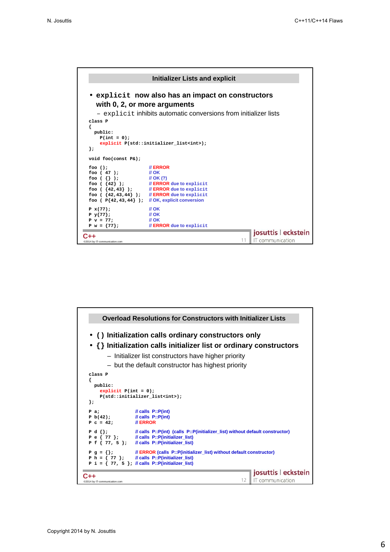

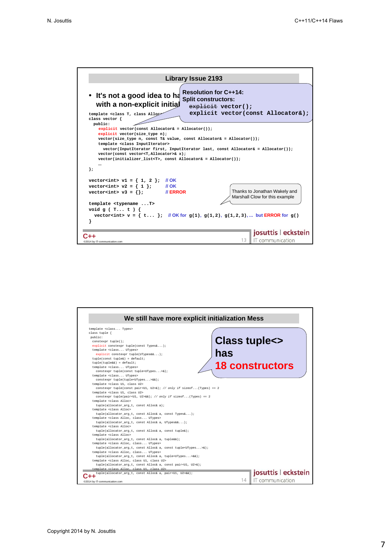

| We still have more explicit initialization Mess                                   |                            |
|-----------------------------------------------------------------------------------|----------------------------|
| template <class types=""></class>                                                 |                            |
| class tuple {                                                                     |                            |
| public:                                                                           |                            |
| constexpr tuple();                                                                | <b>Class tuple&lt;&gt;</b> |
| explicit constexpr tuple(const Types&);                                           |                            |
| template <class utypes=""></class>                                                | has                        |
| explicit constexpr tuple(UTypes&&);                                               |                            |
| $tuple (const tuple > = default;$<br>$tuple(tuple \&) = default;$                 |                            |
| template <class utypes=""></class>                                                | <b>18 constructors</b>     |
| constexpr tuple(const tuple <utypes> &amp; );</utypes>                            |                            |
| template <class utypes=""></class>                                                |                            |
| constexpr tuple(tuple <utypes> &amp; &amp; ) ;</utypes>                           |                            |
| template <class class="" u1,="" u2=""></class>                                    |                            |
| constexpr tuple(const pair <u1, u2="">&amp;); // only if sizeof(Types) == 2</u1,> |                            |
| template <class class="" u1,="" u2=""></class>                                    |                            |
| constexpr tuple(pair <u1, u2="">&amp;&amp;); // only if sizeof(Types) == 2</u1,>  |                            |
| template <class alloc=""></class>                                                 |                            |
| tuple(allocator_arq_t, const Alloc& a);                                           |                            |
| template <class alloc=""></class>                                                 |                            |
| tuple(allocator_arg_t, const Alloc& a, const Types&);                             |                            |
| template <class alloc,="" class="" utypes=""></class>                             |                            |
| tuple(allocator_arq_t, const Alloc& a, UTypes&&);                                 |                            |
| template <class alloc=""></class>                                                 |                            |
| tuple(allocator_arg_t, const Alloc& a, const tuple&);                             |                            |
| template <class alloc=""></class>                                                 |                            |
| tuple(allocator_arg_t, const Alloc& a, tuple&&);                                  |                            |
| template <class alloc,="" class="" utypes=""></class>                             |                            |
| tuple(allocator_arq_t, const Alloc& a, const tuple <utypes>&amp;);</utypes>       |                            |
| template <class alloc,="" class="" utypes=""></class>                             |                            |
| tuple(allocator_arq_t, const Alloc& a, tuple <utypes>&amp;&amp;);</utypes>        |                            |
| template <class alloc,="" class="" u1,="" u2=""></class>                          |                            |
| tuple(allocator_arq_t, const Alloc& a, const pair <u1, u2="">&amp;);</u1,>        |                            |
| template <class alloc,="" class="" u1,="" u2=""></class>                          |                            |
| tuple(allocator_arq_t, const Alloc& a, pair <u1, u2="">&amp;&amp;);</u1,>         | josuttis   eckstein        |
| @2014 by IT-communication.com                                                     | IT communication<br>14     |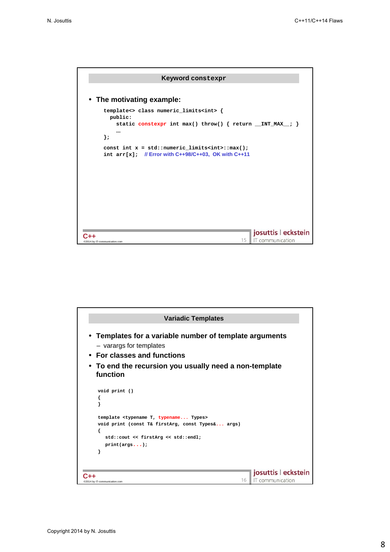

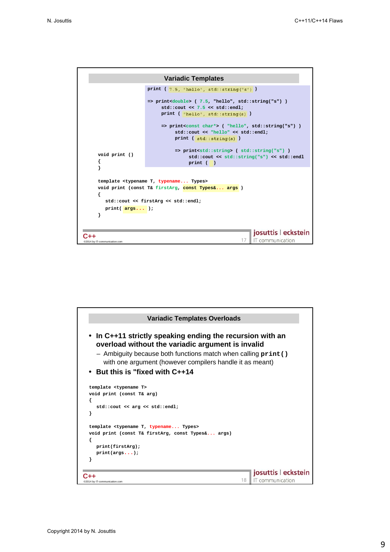

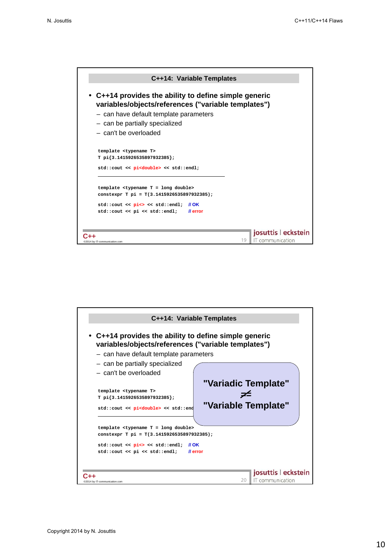

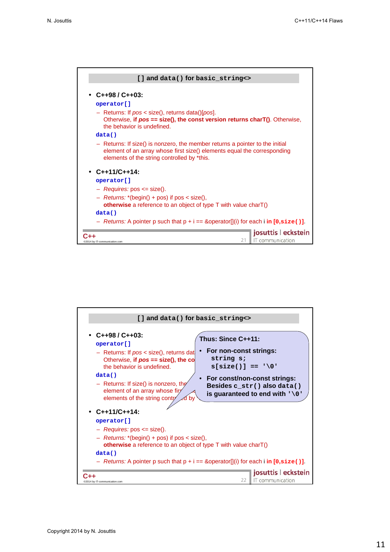

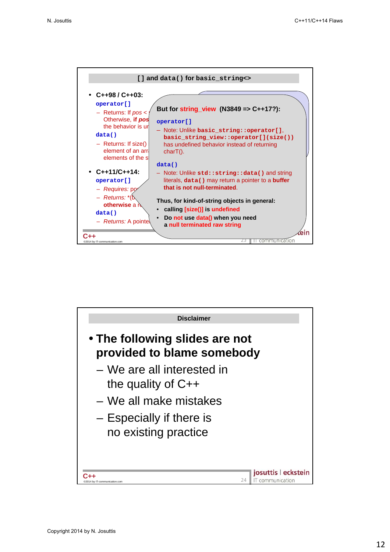

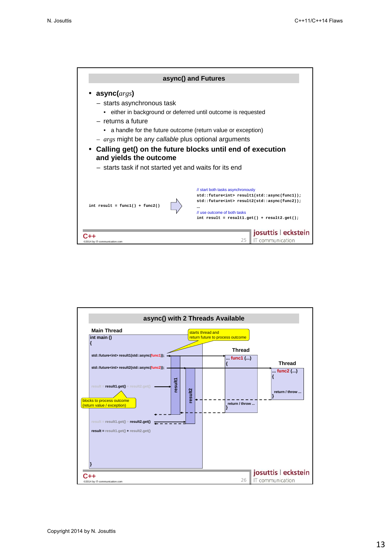

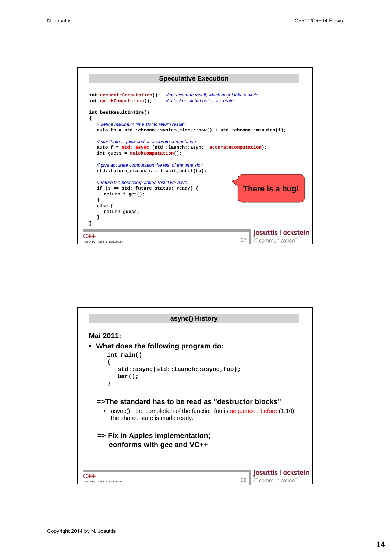

| Mai 2011:                                                                                                        |                                               |
|------------------------------------------------------------------------------------------------------------------|-----------------------------------------------|
| What does the following program do:                                                                              |                                               |
| int main()                                                                                                       |                                               |
|                                                                                                                  |                                               |
| std::async(std::launch::async,foo);<br>$bar()$ ;                                                                 |                                               |
| ł                                                                                                                |                                               |
|                                                                                                                  |                                               |
| =>The standard has to be read as "destructor blocks"                                                             |                                               |
| async(): "the completion of the function foo is sequenced before (1.10)<br>٠<br>the shared state is made ready." |                                               |
| => Fix in Apples implementation;                                                                                 |                                               |
| conforms with gcc and VC++                                                                                       |                                               |
|                                                                                                                  |                                               |
|                                                                                                                  |                                               |
|                                                                                                                  | josuttis   eckstein<br>IT communication<br>28 |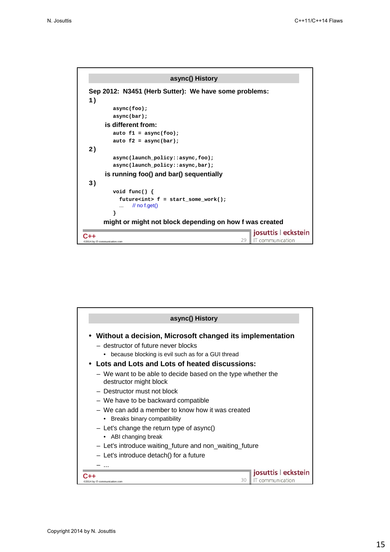

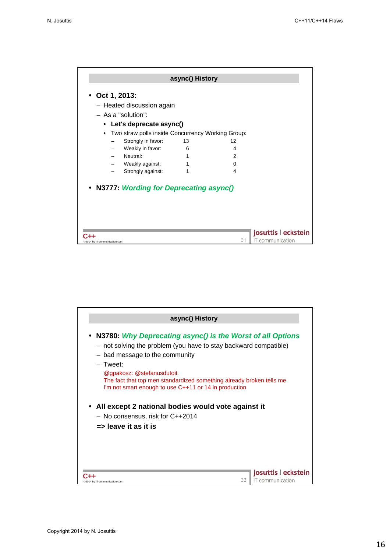|                                                                | async() History |    |                     |
|----------------------------------------------------------------|-----------------|----|---------------------|
| Oct 1, 2013:                                                   |                 |    |                     |
| - Heated discussion again                                      |                 |    |                     |
| $-$ As a "solution":                                           |                 |    |                     |
| Let's deprecate async()<br>$\bullet$                           |                 |    |                     |
| Two straw polls inside Concurrency Working Group:<br>$\bullet$ |                 |    |                     |
| Strongly in favor:                                             | 13              | 12 |                     |
| Weakly in favor:                                               | 6               | 4  |                     |
| Neutral:                                                       | 1               | 2  |                     |
| Weakly against:                                                | 1               | 0  |                     |
| Strongly against:                                              | 1               | 4  |                     |
| N3777 Wording for Deprecating async()                          |                 |    |                     |
|                                                                |                 |    | josuttis   eckstein |
| @2014 by IT-communication.com                                  |                 | 31 | IT communication    |

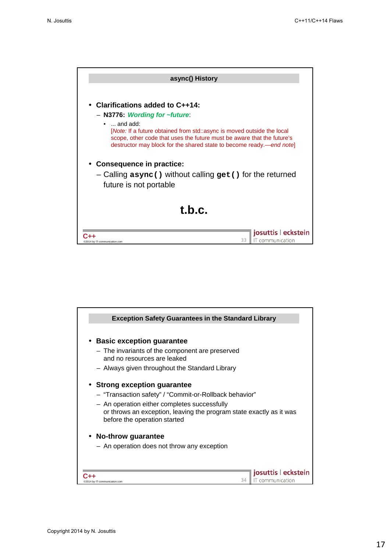

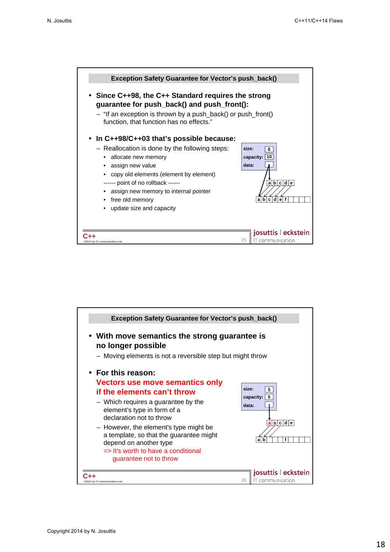

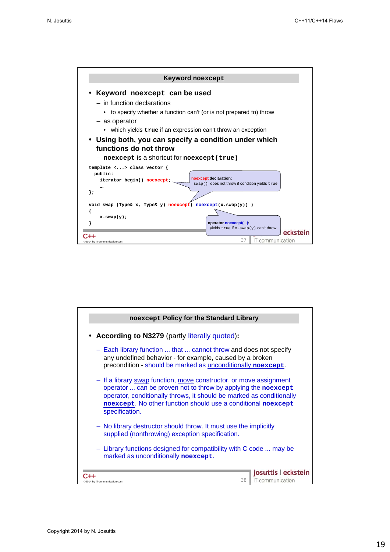

| noexcept Policy for the Standard Library                                                                                                                                                                                                                                                       |  |
|------------------------------------------------------------------------------------------------------------------------------------------------------------------------------------------------------------------------------------------------------------------------------------------------|--|
| <b>According to N3279</b> (partly literally quoted):                                                                                                                                                                                                                                           |  |
| - Each library function  that  cannot throw and does not specify<br>any undefined behavior - for example, caused by a broken<br>precondition - should be marked as unconditionally noexcept.                                                                                                   |  |
| - If a library swap function, move constructor, or move assignment<br>operator  can be proven not to throw by applying the noexcept<br>operator, conditionally throws, it should be marked as conditionally<br>noexcept. No other function should use a conditional noexcept<br>specification. |  |
| - No library destructor should throw. It must use the implicitly<br>supplied (nonthrowing) exception specification.                                                                                                                                                                            |  |
| - Library functions designed for compatibility with C code  may be<br>marked as unconditionally noexcept.                                                                                                                                                                                      |  |
| josuttis   eckstein<br>IT communication<br>38<br>4 by IT-communication.com                                                                                                                                                                                                                     |  |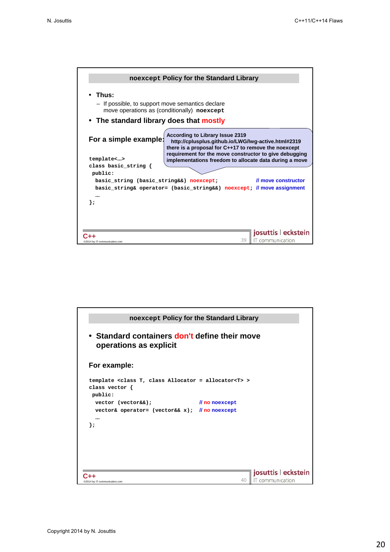

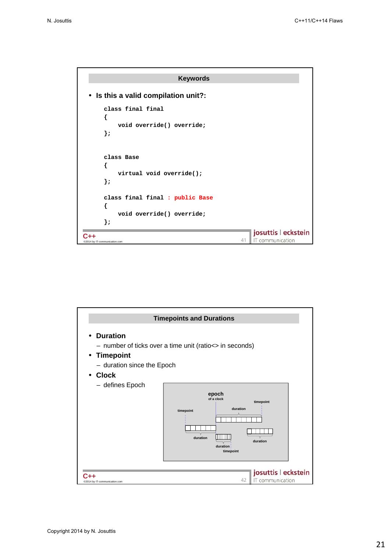

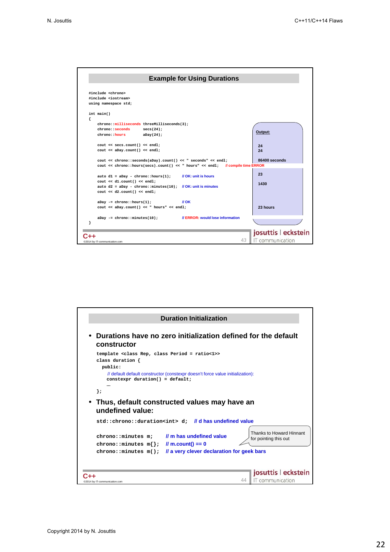

| <b>Duration Initialization</b>                                                                                                                                                                                                                                                                                     |                                               |
|--------------------------------------------------------------------------------------------------------------------------------------------------------------------------------------------------------------------------------------------------------------------------------------------------------------------|-----------------------------------------------|
| Durations have no zero initialization defined for the default<br>constructor                                                                                                                                                                                                                                       |                                               |
| template <class class="" period="ratio&lt;1" rep,="">&gt;<br/>class duration {<br/>public:<br/>// default default constructor (constexpr doesn't force value initialization):<br/><math>constant</math> duration() = default;<br/>};<br/>Thus, default constructed values may have an<br/>undefined value:</class> |                                               |
| std:: chrono:: duration <int> d: //d has undefined value</int>                                                                                                                                                                                                                                                     |                                               |
| Thanks to Howard Hinnant<br>// m has undefined value<br>chrono::minutes m;<br>for pointing this out<br>$l$ m.count() == 0<br>$\verb chromo::minutes m{}' ;$<br>Il a very clever declaration for geek bars<br>chrono::minutes m();                                                                                  |                                               |
| @2014 by IT-communication.com                                                                                                                                                                                                                                                                                      | josuttis   eckstein<br>IT communication<br>44 |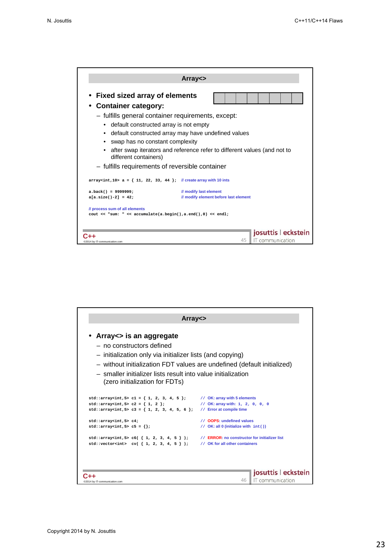|                                                                                                                                                                                                                                                                                           | $Array \Leftrightarrow$                                                                                                         |                                       |
|-------------------------------------------------------------------------------------------------------------------------------------------------------------------------------------------------------------------------------------------------------------------------------------------|---------------------------------------------------------------------------------------------------------------------------------|---------------------------------------|
| • Fixed sized array of elements<br><b>Container category:</b><br>- fulfills general container requirements, except:<br>default constructed array is not empty<br>$\bullet$<br>swap has no constant complexity<br>different containers)<br>- fulfills requirements of reversible container | default constructed array may have undefined values<br>after swap iterators and reference refer to different values (and not to |                                       |
| $array1$ array <int, 10=""> a = { 11, 22, 33, 44 }; // create array with 10 ints</int,>                                                                                                                                                                                                   |                                                                                                                                 |                                       |
| $a.back() = 9999999;$<br>$a[a.size() - 2] = 42;$                                                                                                                                                                                                                                          | // modify last element<br>// modify element before last element                                                                 |                                       |
| // process sum of all elements<br>cout << "sum: " << accumulate(a.begin(),a.end(),0) << endl;                                                                                                                                                                                             |                                                                                                                                 |                                       |
| @2014 by IT-communication.com                                                                                                                                                                                                                                                             | 45                                                                                                                              | josuttis eckstein<br>IT communication |

| $Array \Leftrightarrow$                                                                                                                                                                                                                                                                         |                                               |
|-------------------------------------------------------------------------------------------------------------------------------------------------------------------------------------------------------------------------------------------------------------------------------------------------|-----------------------------------------------|
| Array <> is an aggregate<br>— no constructors defined<br>- initialization only via initializer lists (and copying)<br>- without initialization FDT values are undefined (default initialized)<br>- smaller initializer lists result into value initialization<br>(zero initialization for FDTs) |                                               |
| std::array <int,5> c1 = { 1, 2, 3, 4, 5 };</int,5>                                                                                                                                                                                                                                              | // OK: array with 5 elements                  |
| std::array <int,5> <math>c2 = \{ 1, 2 \}</math>;</int,5>                                                                                                                                                                                                                                        | // OK: array with: 1, 2, 0, 0, 0              |
| std::array <int, 5=""> c3 = { 1, 2, 3, 4, 5, 6 };</int,>                                                                                                                                                                                                                                        | // Error at compile time                      |
| std::array <sub>int</sub> , 5> c4;                                                                                                                                                                                                                                                              | // OOPS: undefined values                     |
| $std:arrayint, 5> c5 = \{\};$                                                                                                                                                                                                                                                                   | // $OK:$ all 0 (initialize with $int()$ )     |
| std::array <int,5> <math>c6() { 1, 2, 3, 4, 5 } )</math>;</int,5>                                                                                                                                                                                                                               | // ERROR: no constructor for initializer list |
| std::vector <int> <math>cv( { 1, 2, 3, 4, 5 } )</math>;</int>                                                                                                                                                                                                                                   | // OK for all other containers                |
| @2014 by IT-communication.com                                                                                                                                                                                                                                                                   | josuttis   eckstein<br>IT communication<br>46 |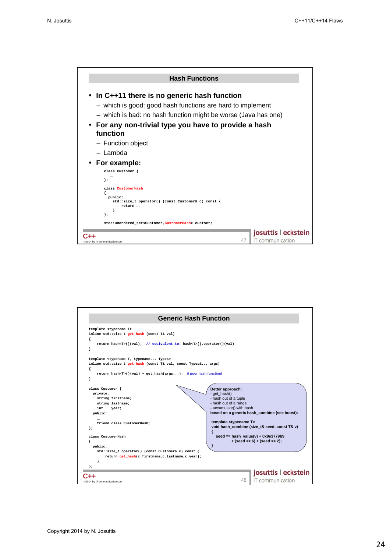

| <b>Generic Hash Function</b>                                                                                                                                                                                                                                                                                                                                                                                                   |                                                                                                                                                                                                                                                                                                                                                                                          |
|--------------------------------------------------------------------------------------------------------------------------------------------------------------------------------------------------------------------------------------------------------------------------------------------------------------------------------------------------------------------------------------------------------------------------------|------------------------------------------------------------------------------------------------------------------------------------------------------------------------------------------------------------------------------------------------------------------------------------------------------------------------------------------------------------------------------------------|
| template <typename t=""><br/>inline std::size t get hash (const T&amp; val)<br/>ſ<br/>return hash<t>()(val); // equivalent to: hash<t>().operator()(val)<br/>ł<br/>template <typename t,="" typename="" types=""><br/>inline std::size t get hash (const T&amp; val, const Types&amp; args)<br/>ſ<br/>return hash<r></r><math>(T&gt;()(val) + get hash(args)</math>; //poor hash function!<br/>ł</typename></t></t></typename> |                                                                                                                                                                                                                                                                                                                                                                                          |
| class Customer {<br>private:<br>string firstname;<br>string lastname;<br>int.<br>year;<br>public:<br><br>friend class CustomerHash;<br>۱,<br>class CustomerHash<br>public:<br>std::size_t operator() (const Customer& c) const {<br>return get hash(c.firstname,c.lastname,c.year);                                                                                                                                            | Better approach:<br>- get_hash()<br>- hash out of a tuple<br>- hash out of a range<br>- accumulate() with hash<br>based on a generic hash_combine (see boost):<br>template <typename t=""><br/>void hash combine (size t&amp; seed, const T&amp; v)<br/>₹<br/>seed <math>\text{-}</math> hash value(v) + 0x9e3779b9<br/><math>+</math> (seed &lt;&lt; 6) + (seed &gt;&gt; 2);</typename> |
| @2014 by IT-communication.com                                                                                                                                                                                                                                                                                                                                                                                                  | josuttis   eckstein<br>48   IT communication                                                                                                                                                                                                                                                                                                                                             |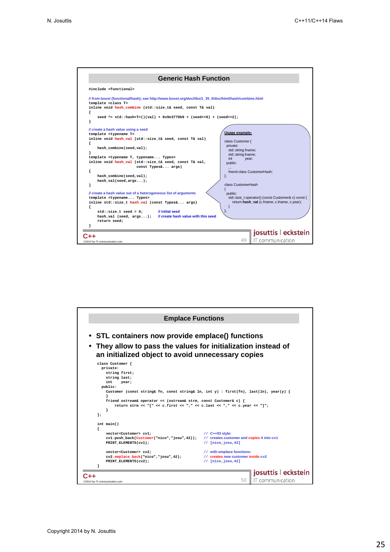

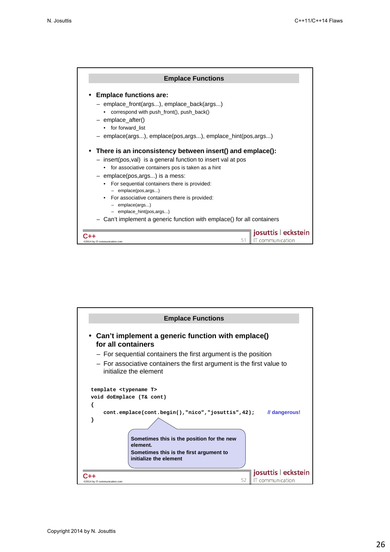